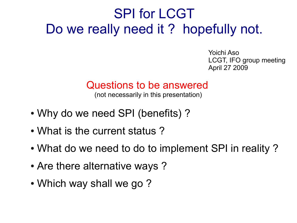# SPI for LCGT Do we really need it? hopefully not.

Yoichi Aso LCGT, IFO group meeting April 27 2009

#### Questions to be answered

(not necessarily in this presentation)

- Why do we need SPI (benefits)?
- What is the current status?
- What do we need to do to implement SPI in reality?
- Are there alternative ways?
- Which way shall we go?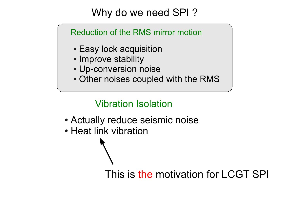# Why do we need SPI ?

Reduction of the RMS mirror motion

- Easy lock acquisition
- Improve stability
- Up-conversion noise
- Other noises coupled with the RMS

## Vibration Isolation

- Actually reduce seismic noise
- Heat link vibration

This is the motivation for LCGT SPI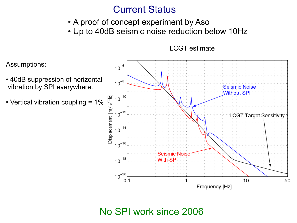## Current Status

- A proof of concept experiment by Aso
- Up to 40dB seismic noise reduction below 10Hz

Assumptions:  $10^{-6}$ • 40dB suppression of horizontal  $10^{-8}$  vibration by SPI everywhere. **Seismic Noise Without SPI**  $\begin{array}{c}\n\boxed{\frac{12}{12}} & 10^{-10} \\
\hline\n\end{array}$   $\begin{array}{c}\n\boxed{\frac{12}{10}} & 10^{-12} \\
\hline\n\end{array}$   $\begin{array}{c}\n\boxed{10^{-16}} \\
\end{array}$  $\cdot$  Vertical vibration coupling = 1%  $10^{-12}$ **LCGT Target Sensitivity**  $10^{-14}$  $10^{-16}$ **Seismic Noise**  $10^{-18}$ With SPI  $10^{-20}$  $10$ 50  $0.1$ Frequency [Hz]

LCGT estimate

### No SPI work since 2006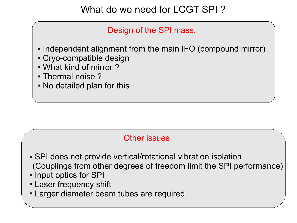# What do we need for LCGT SPI ?

Design of the SPI mass.

- Independent alignment from the main IFO (compound mirror)
- Cryo-compatible design
- What kind of mirror?
- $\cdot$  Thermal noise ?
- No detailed plan for this

#### Other issues

- SPI does not provide vertical/rotational vibration isolation (Couplings from other degrees of freedom limit the SPI performance)
- Input optics for SPI
- Laser frequency shift
- Larger diameter beam tubes are required.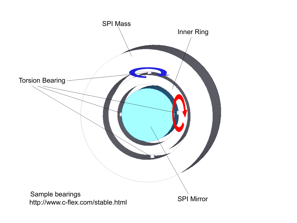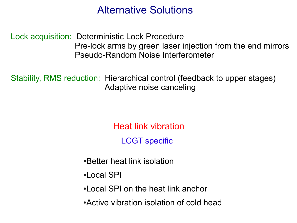# Alternative Solutions

Lock acquisition: Deterministic Lock Procedure Pre-lock arms by green laser injection from the end mirrors Pseudo-Random Noise Interferometer

Stability, RMS reduction: Hierarchical control (feedback to upper stages) Adaptive noise canceling

Heat link vibration

LCGT specific

- •Better heat link isolation
- ●Local SPI
- •Local SPI on the heat link anchor
- Active vibration isolation of cold head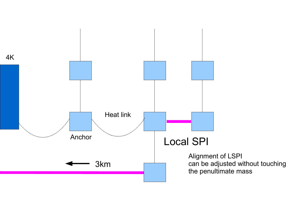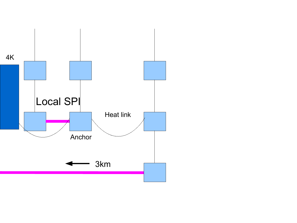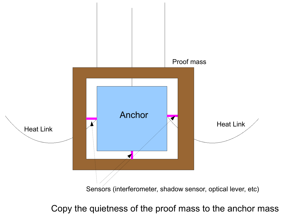

Copy the quietness of the proof mass to the anchor mass